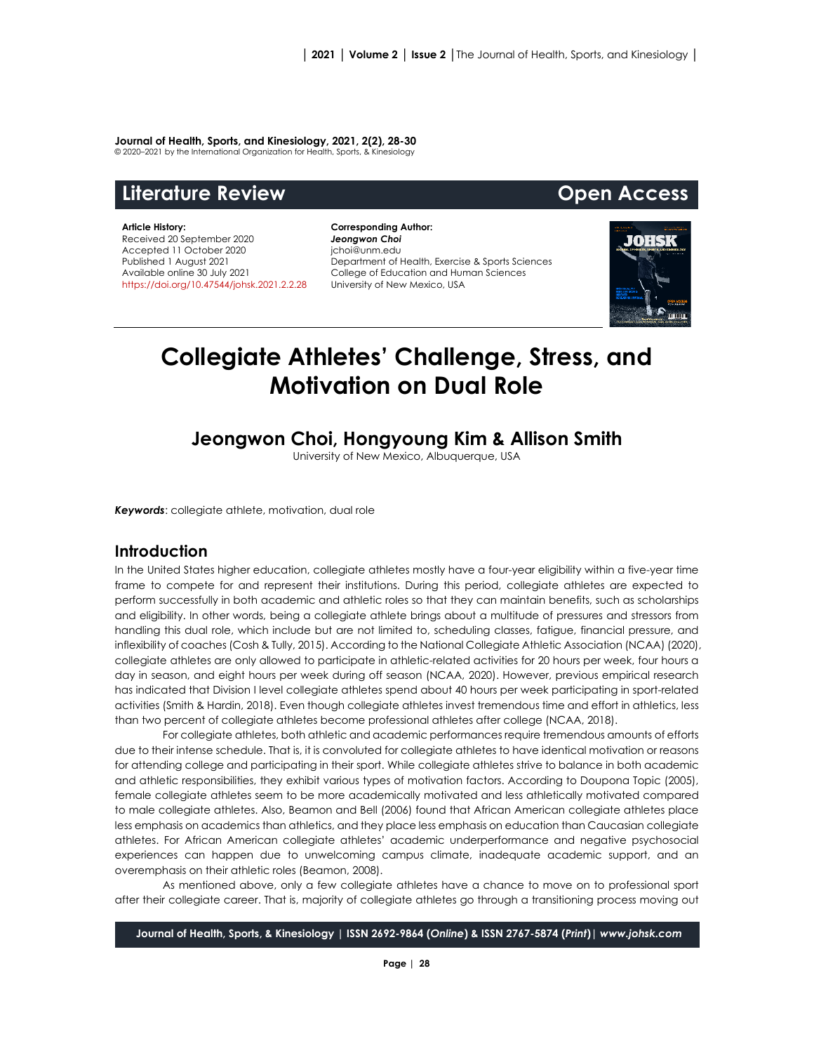#### **Journal of Health, Sports, and Kinesiology, 2021, 2(2), 28-30**

© 2020–2021 by the International Organization for Health, Sports, & Kinesiology

# **Literature Review Open Access**

#### **Article History:** Received 20 September 2020 Accepted 11 October 2020 Published 1 August 2021 Available online 30 July 2021 [https://doi.org/10.47544/johsk.2021.2.2.2](https://doi.org/10.47544/johsk.2021.2.2.)8

**Corresponding Author:** *Jeongwon Choi* jchoi@unm.edu Department of Health, Exercise & Sports Sciences College of Education and Human Sciences University of New Mexico, USA



# **Collegiate Athletes' Challenge, Stress, and Motivation on Dual Role**

# **Jeongwon Choi, Hongyoung Kim & Allison Smith**

University of New Mexico, Albuquerque, USA

*Keywords*: collegiate athlete, motivation, dual role

# **Introduction**

In the United States higher education, collegiate athletes mostly have a four-year eligibility within a five-year time frame to compete for and represent their institutions. During this period, collegiate athletes are expected to perform successfully in both academic and athletic roles so that they can maintain benefits, such as scholarships and eligibility. In other words, being a collegiate athlete brings about a multitude of pressures and stressors from handling this dual role, which include but are not limited to, scheduling classes, fatigue, financial pressure, and inflexibility of coaches (Cosh & Tully, 2015). According to the National Collegiate Athletic Association (NCAA) (2020), collegiate athletes are only allowed to participate in athletic-related activities for 20 hours per week, four hours a day in season, and eight hours per week during off season (NCAA, 2020). However, previous empirical research has indicated that Division I level collegiate athletes spend about 40 hours per week participating in sport-related activities (Smith & Hardin, 2018). Even though collegiate athletes invest tremendous time and effort in athletics, less than two percent of collegiate athletes become professional athletes after college (NCAA, 2018).

For collegiate athletes, both athletic and academic performances require tremendous amounts of efforts due to their intense schedule. That is, it is convoluted for collegiate athletes to have identical motivation or reasons for attending college and participating in their sport. While collegiate athletes strive to balance in both academic and athletic responsibilities, they exhibit various types of motivation factors. According to Doupona Topic (2005), female collegiate athletes seem to be more academically motivated and less athletically motivated compared to male collegiate athletes. Also, Beamon and Bell (2006) found that African American collegiate athletes place less emphasis on academics than athletics, and they place less emphasis on education than Caucasian collegiate athletes. For African American collegiate athletes' academic underperformance and negative psychosocial experiences can happen due to unwelcoming campus climate, inadequate academic support, and an overemphasis on their athletic roles (Beamon, 2008).

As mentioned above, only a few collegiate athletes have a chance to move on to professional sport after their collegiate career. That is, majority of collegiate athletes go through a transitioning process moving out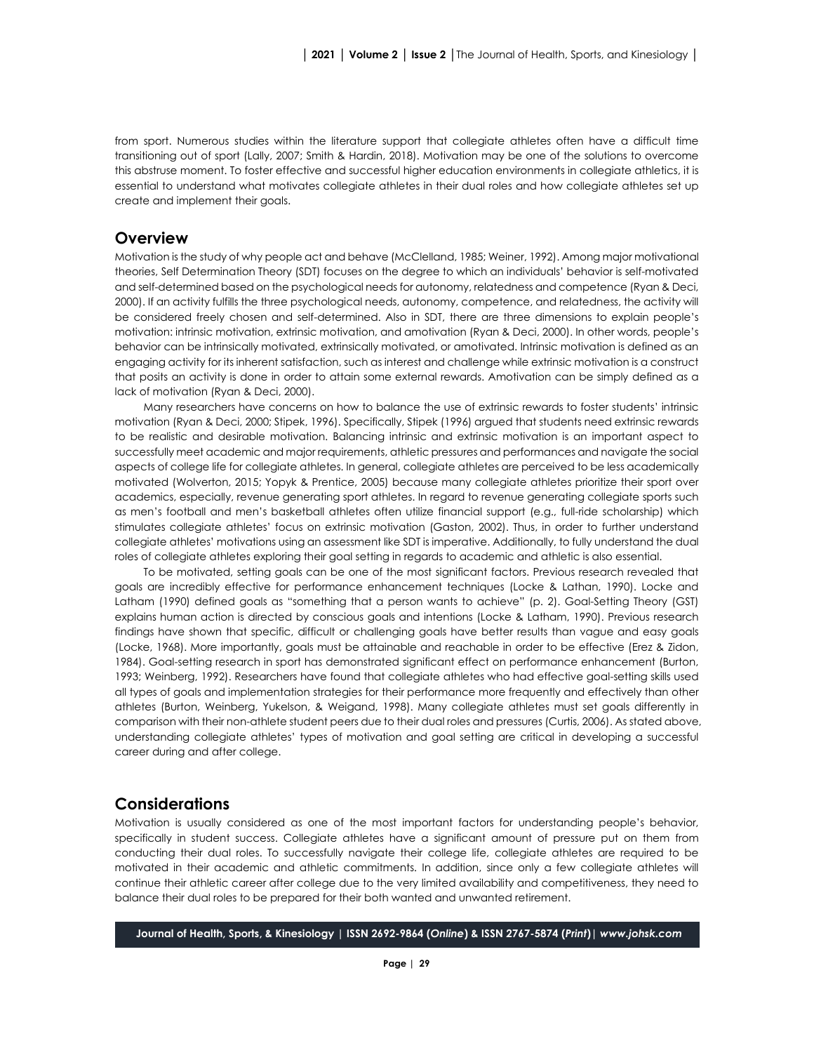from sport. Numerous studies within the literature support that collegiate athletes often have a difficult time transitioning out of sport (Lally, 2007; Smith & Hardin, 2018). Motivation may be one of the solutions to overcome this abstruse moment. To foster effective and successful higher education environments in collegiate athletics, it is essential to understand what motivates collegiate athletes in their dual roles and how collegiate athletes set up create and implement their goals.

## **Overview**

Motivation is the study of why people act and behave (McClelland, 1985; Weiner, 1992). Among major motivational theories, Self Determination Theory (SDT) focuses on the degree to which an individuals' behavior is self-motivated and self-determined based on the psychological needs for autonomy, relatedness and competence (Ryan & Deci, 2000). If an activity fulfills the three psychological needs, autonomy, competence, and relatedness, the activity will be considered freely chosen and self-determined. Also in SDT, there are three dimensions to explain people's motivation: intrinsic motivation, extrinsic motivation, and amotivation (Ryan & Deci, 2000). In other words, people's behavior can be intrinsically motivated, extrinsically motivated, or amotivated. Intrinsic motivation is defined as an engaging activity for its inherent satisfaction, such as interest and challenge while extrinsic motivation is a construct that posits an activity is done in order to attain some external rewards. Amotivation can be simply defined as a lack of motivation (Ryan & Deci, 2000).

Many researchers have concerns on how to balance the use of extrinsic rewards to foster students' intrinsic motivation (Ryan & Deci, 2000; Stipek, 1996). Specifically, Stipek (1996) argued that students need extrinsic rewards to be realistic and desirable motivation. Balancing intrinsic and extrinsic motivation is an important aspect to successfully meet academic and major requirements, athletic pressures and performances and navigate the social aspects of college life for collegiate athletes. In general, collegiate athletes are perceived to be less academically motivated (Wolverton, 2015; Yopyk & Prentice, 2005) because many collegiate athletes prioritize their sport over academics, especially, revenue generating sport athletes. In regard to revenue generating collegiate sports such as men's football and men's basketball athletes often utilize financial support (e.g., full-ride scholarship) which stimulates collegiate athletes' focus on extrinsic motivation (Gaston, 2002). Thus, in order to further understand collegiate athletes' motivations using an assessment like SDT is imperative. Additionally, to fully understand the dual roles of collegiate athletes exploring their goal setting in regards to academic and athletic is also essential.

To be motivated, setting goals can be one of the most significant factors. Previous research revealed that goals are incredibly effective for performance enhancement techniques (Locke & Lathan, 1990). Locke and Latham (1990) defined goals as "something that a person wants to achieve" (p. 2). Goal-Setting Theory (GST) explains human action is directed by conscious goals and intentions (Locke & Latham, 1990). Previous research findings have shown that specific, difficult or challenging goals have better results than vague and easy goals (Locke, 1968). More importantly, goals must be attainable and reachable in order to be effective (Erez & Zidon, 1984). Goal-setting research in sport has demonstrated significant effect on performance enhancement (Burton, 1993; Weinberg, 1992). Researchers have found that collegiate athletes who had effective goal-setting skills used all types of goals and implementation strategies for their performance more frequently and effectively than other athletes (Burton, Weinberg, Yukelson, & Weigand, 1998). Many collegiate athletes must set goals differently in comparison with their non-athlete student peers due to their dual roles and pressures (Curtis, 2006). As stated above, understanding collegiate athletes' types of motivation and goal setting are critical in developing a successful career during and after college.

### **Considerations**

Motivation is usually considered as one of the most important factors for understanding people's behavior, specifically in student success. Collegiate athletes have a significant amount of pressure put on them from conducting their dual roles. To successfully navigate their college life, collegiate athletes are required to be motivated in their academic and athletic commitments. In addition, since only a few collegiate athletes will continue their athletic career after college due to the very limited availability and competitiveness, they need to balance their dual roles to be prepared for their both wanted and unwanted retirement.

**Journal of Health, Sports, & Kinesiology | ISSN 2692-9864 (***Online***) & ISSN 2767-5874 (***Print***)|** *www.johsk.com*